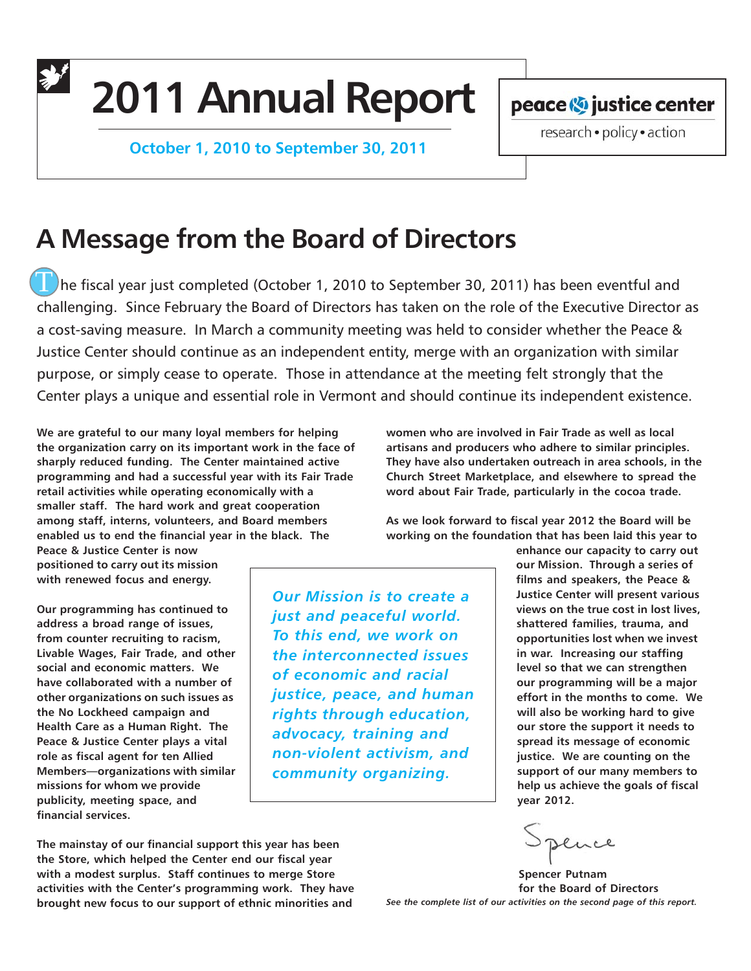**2011 Annual Report**

 **October 1, 2010 to September 30, 2011**

peace <>>
vestice center<br/> **Deace** 

research · policy · action

# **A Message from the Board of Directors**

The fiscal year just completed (October 1, 2010 to September 30, 2011) has been eventful and challenging. Since February the Board of Directors has taken on the role of the Executive Director as a cost-saving measure. In March a community meeting was held to consider whether the Peace & Justice Center should continue as an independent entity, merge with an organization with similar purpose, or simply cease to operate. Those in attendance at the meeting felt strongly that the Center plays a unique and essential role in Vermont and should continue its independent existence.

**We are grateful to our many loyal members for helping the organization carry on its important work in the face of sharply reduced funding. The Center maintained active programming and had a successful year with its Fair Trade retail activities while operating economically with a smaller staff. The hard work and great cooperation among staff, interns, volunteers, and Board members enabled us to end the financial year in the black. The**

**Peace & Justice Center is now positioned to carry out its mission with renewed focus and energy.**

**Our programming has continued to address a broad range of issues, from counter recruiting to racism, Livable Wages, Fair Trade, and other social and economic matters. We have collaborated with a number of other organizations on such issues as the No Lockheed campaign and Health Care as a Human Right. The Peace & Justice Center plays a vital role as fiscal agent for ten Allied Members—organizations with similar missions for whom we provide publicity, meeting space, and financial services.**

*Our Mission is to create a just and peaceful world. To this end, we work on the interconnected issues of economic and racial justice, peace, and human rights through education, advocacy, training and non-violent activism, and community organizing.*

**women who are involved in Fair Trade as well as local artisans and producers who adhere to similar principles. They have also undertaken outreach in area schools, in the Church Street Marketplace, and elsewhere to spread the word about Fair Trade, particularly in the cocoa trade.**

**As we look forward to fiscal year 2012 the Board will be working on the foundation that has been laid this year to**

> **enhance our capacity to carry out our Mission. Through a series of films and speakers, the Peace & Justice Center will present various views on the true cost in lost lives, shattered families, trauma, and opportunities lost when we invest in war. Increasing our staffing level so that we can strengthen our programming will be a major effort in the months to come. We will also be working hard to give our store the support it needs to spread its message of economic justice. We are counting on the support of our many members to help us achieve the goals of fiscal year 2012.**

ence

**Spencer Putnam for the Board of Directors** *See the complete list of our activities on the second page of this report.*

**The mainstay of our financial support this year has been the Store, which helped the Center end our fiscal year with a modest surplus. Staff continues to merge Store activities with the Center's programming work. They have brought new focus to our support of ethnic minorities and**